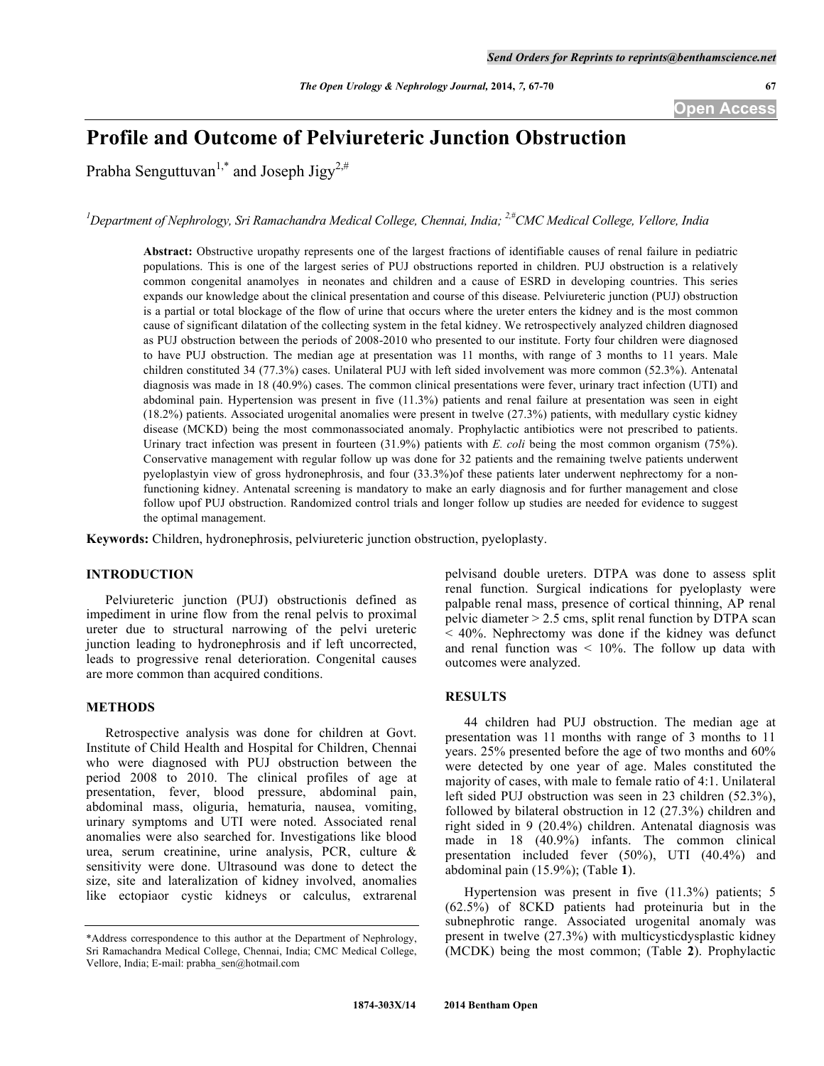# **Profile and Outcome of Pelviureteric Junction Obstruction**

Prabha Senguttuvan<sup>1,\*</sup> and Joseph Jigy<sup>2,#</sup>

<sup>1</sup>Department of Nephrology, Sri Ramachandra Medical College, Chennai, India; <sup>2,#</sup>CMC Medical College, Vellore, India

**Abstract:** Obstructive uropathy represents one of the largest fractions of identifiable causes of renal failure in pediatric populations. This is one of the largest series of PUJ obstructions reported in children. PUJ obstruction is a relatively common congenital anamolyes in neonates and children and a cause of ESRD in developing countries. This series expands our knowledge about the clinical presentation and course of this disease. Pelviureteric junction (PUJ) obstruction is a partial or total blockage of the flow of urine that occurs where the ureter enters the kidney and is the most common cause of significant dilatation of the collecting system in the fetal kidney. We retrospectively analyzed children diagnosed as PUJ obstruction between the periods of 2008-2010 who presented to our institute. Forty four children were diagnosed to have PUJ obstruction. The median age at presentation was 11 months, with range of 3 months to 11 years. Male children constituted 34 (77.3%) cases. Unilateral PUJ with left sided involvement was more common (52.3%). Antenatal diagnosis was made in 18 (40.9%) cases. The common clinical presentations were fever, urinary tract infection (UTI) and abdominal pain. Hypertension was present in five (11.3%) patients and renal failure at presentation was seen in eight (18.2%) patients. Associated urogenital anomalies were present in twelve (27.3%) patients, with medullary cystic kidney disease (MCKD) being the most commonassociated anomaly. Prophylactic antibiotics were not prescribed to patients. Urinary tract infection was present in fourteen (31.9%) patients with *E. coli* being the most common organism (75%). Conservative management with regular follow up was done for 32 patients and the remaining twelve patients underwent pyeloplastyin view of gross hydronephrosis, and four (33.3%)of these patients later underwent nephrectomy for a nonfunctioning kidney. Antenatal screening is mandatory to make an early diagnosis and for further management and close follow upof PUJ obstruction. Randomized control trials and longer follow up studies are needed for evidence to suggest the optimal management.

**Keywords:** Children, hydronephrosis, pelviureteric junction obstruction, pyeloplasty.

# **INTRODUCTION**

Pelviureteric junction (PUJ) obstructionis defined as impediment in urine flow from the renal pelvis to proximal ureter due to structural narrowing of the pelvi ureteric junction leading to hydronephrosis and if left uncorrected, leads to progressive renal deterioration. Congenital causes are more common than acquired conditions.

#### **METHODS**

Retrospective analysis was done for children at Govt. Institute of Child Health and Hospital for Children, Chennai who were diagnosed with PUJ obstruction between the period 2008 to 2010. The clinical profiles of age at presentation, fever, blood pressure, abdominal pain, abdominal mass, oliguria, hematuria, nausea, vomiting, urinary symptoms and UTI were noted. Associated renal anomalies were also searched for. Investigations like blood urea, serum creatinine, urine analysis, PCR, culture & sensitivity were done. Ultrasound was done to detect the size, site and lateralization of kidney involved, anomalies like ectopiaor cystic kidneys or calculus, extrarenal

pelvisand double ureters. DTPA was done to assess split renal function. Surgical indications for pyeloplasty were palpable renal mass, presence of cortical thinning, AP renal pelvic diameter  $> 2.5$  cms, split renal function by DTPA scan < 40%. Nephrectomy was done if the kidney was defunct and renal function was  $\leq 10\%$ . The follow up data with outcomes were analyzed.

# **RESULTS**

44 children had PUJ obstruction. The median age at presentation was 11 months with range of 3 months to 11 years. 25% presented before the age of two months and 60% were detected by one year of age. Males constituted the majority of cases, with male to female ratio of 4:1. Unilateral left sided PUJ obstruction was seen in 23 children (52.3%), followed by bilateral obstruction in 12 (27.3%) children and right sided in 9 (20.4%) children. Antenatal diagnosis was made in 18 (40.9%) infants. The common clinical presentation included fever (50%), UTI (40.4%) and abdominal pain (15.9%); (Table **1**).

Hypertension was present in five (11.3%) patients; 5 (62.5%) of 8CKD patients had proteinuria but in the subnephrotic range. Associated urogenital anomaly was present in twelve (27.3%) with multicysticdysplastic kidney (MCDK) being the most common; (Table **2**). Prophylactic

<sup>\*</sup>Address correspondence to this author at the Department of Nephrology, Sri Ramachandra Medical College, Chennai, India; CMC Medical College, Vellore, India; E-mail: prabha\_sen@hotmail.com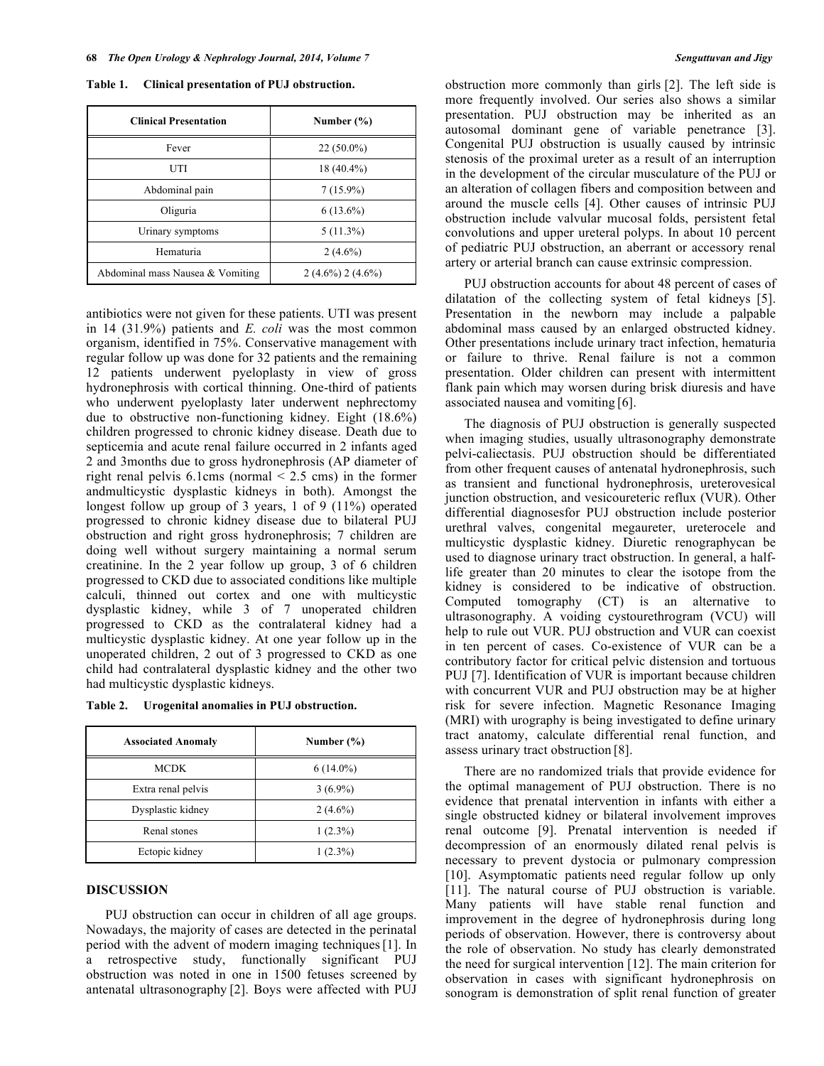**Table 1. Clinical presentation of PUJ obstruction.**

| <b>Clinical Presentation</b>     | Number $(\% )$      |
|----------------------------------|---------------------|
| Fever                            | $22(50.0\%)$        |
| UTI                              | $18(40.4\%)$        |
| Abdominal pain                   | $7(15.9\%)$         |
| Oliguria                         | $6(13.6\%)$         |
| Urinary symptoms                 | $5(11.3\%)$         |
| Hematuria                        | $2(4.6\%)$          |
| Abdominal mass Nausea & Vomiting | $2(4.6\%) 2(4.6\%)$ |

antibiotics were not given for these patients. UTI was present in 14 (31.9%) patients and *E. coli* was the most common organism, identified in 75%. Conservative management with regular follow up was done for 32 patients and the remaining 12 patients underwent pyeloplasty in view of gross hydronephrosis with cortical thinning. One-third of patients who underwent pyeloplasty later underwent nephrectomy due to obstructive non-functioning kidney. Eight (18.6%) children progressed to chronic kidney disease. Death due to septicemia and acute renal failure occurred in 2 infants aged 2 and 3months due to gross hydronephrosis (AP diameter of right renal pelvis 6.1cms (normal < 2.5 cms) in the former andmulticystic dysplastic kidneys in both). Amongst the longest follow up group of 3 years, 1 of 9 (11%) operated progressed to chronic kidney disease due to bilateral PUJ obstruction and right gross hydronephrosis; 7 children are doing well without surgery maintaining a normal serum creatinine. In the 2 year follow up group, 3 of 6 children progressed to CKD due to associated conditions like multiple calculi, thinned out cortex and one with multicystic dysplastic kidney, while 3 of 7 unoperated children progressed to CKD as the contralateral kidney had a multicystic dysplastic kidney. At one year follow up in the unoperated children, 2 out of 3 progressed to CKD as one child had contralateral dysplastic kidney and the other two had multicystic dysplastic kidneys.

**Table 2. Urogenital anomalies in PUJ obstruction.**

| <b>Associated Anomaly</b> | Number $(\% )$ |
|---------------------------|----------------|
| <b>MCDK</b>               | $6(14.0\%)$    |
| Extra renal pelvis        | $3(6.9\%)$     |
| Dysplastic kidney         | $2(4.6\%)$     |
| Renal stones              | $1(2.3\%)$     |
| Ectopic kidney            | $1(2.3\%)$     |

#### **DISCUSSION**

PUJ obstruction can occur in children of all age groups. Nowadays, the majority of cases are detected in the perinatal period with the advent of modern imaging techniques[1]. In a retrospective study, functionally significant PUJ obstruction was noted in one in 1500 fetuses screened by antenatal ultrasonography [2]. Boys were affected with PUJ

obstruction more commonly than girls [2]. The left side is more frequently involved. Our series also shows a similar presentation. PUJ obstruction may be inherited as an autosomal dominant gene of variable penetrance [3]. Congenital PUJ obstruction is usually caused by intrinsic stenosis of the proximal ureter as a result of an interruption in the development of the circular musculature of the PUJ or an alteration of collagen fibers and composition between and around the muscle cells [4]. Other causes of intrinsic PUJ obstruction include valvular mucosal folds, persistent fetal convolutions and upper ureteral polyps. In about 10 percent of pediatric PUJ obstruction, an aberrant or accessory renal artery or arterial branch can cause extrinsic compression.

PUJ obstruction accounts for about 48 percent of cases of dilatation of the collecting system of fetal kidneys [5]. Presentation in the newborn may include a palpable abdominal mass caused by an enlarged obstructed kidney. Other presentations include urinary tract infection, hematuria or failure to thrive. Renal failure is not a common presentation. Older children can present with intermittent flank pain which may worsen during brisk diuresis and have associated nausea and vomiting [6].

The diagnosis of PUJ obstruction is generally suspected when imaging studies, usually ultrasonography demonstrate pelvi-caliectasis. PUJ obstruction should be differentiated from other frequent causes of antenatal hydronephrosis, such as transient and functional hydronephrosis, ureterovesical junction obstruction, and vesicoureteric reflux (VUR). Other differential diagnosesfor PUJ obstruction include posterior urethral valves, congenital megaureter, ureterocele and multicystic dysplastic kidney. Diuretic renographycan be used to diagnose urinary tract obstruction. In general, a halflife greater than 20 minutes to clear the isotope from the kidney is considered to be indicative of obstruction. Computed tomography (CT) is an alternative to ultrasonography. A voiding cystourethrogram (VCU) will help to rule out VUR. PUJ obstruction and VUR can coexist in ten percent of cases. Co-existence of VUR can be a contributory factor for critical pelvic distension and tortuous PUJ [7]. Identification of VUR is important because children with concurrent VUR and PUJ obstruction may be at higher risk for severe infection. Magnetic Resonance Imaging (MRI) with urography is being investigated to define urinary tract anatomy, calculate differential renal function, and assess urinary tract obstruction [8].

There are no randomized trials that provide evidence for the optimal management of PUJ obstruction. There is no evidence that prenatal intervention in infants with either a single obstructed kidney or bilateral involvement improves renal outcome [9]. Prenatal intervention is needed if decompression of an enormously dilated renal pelvis is necessary to prevent dystocia or pulmonary compression [10]. Asymptomatic patients need regular follow up only [11]. The natural course of PUJ obstruction is variable. Many patients will have stable renal function and improvement in the degree of hydronephrosis during long periods of observation. However, there is controversy about the role of observation. No study has clearly demonstrated the need for surgical intervention [12]. The main criterion for observation in cases with significant hydronephrosis on sonogram is demonstration of split renal function of greater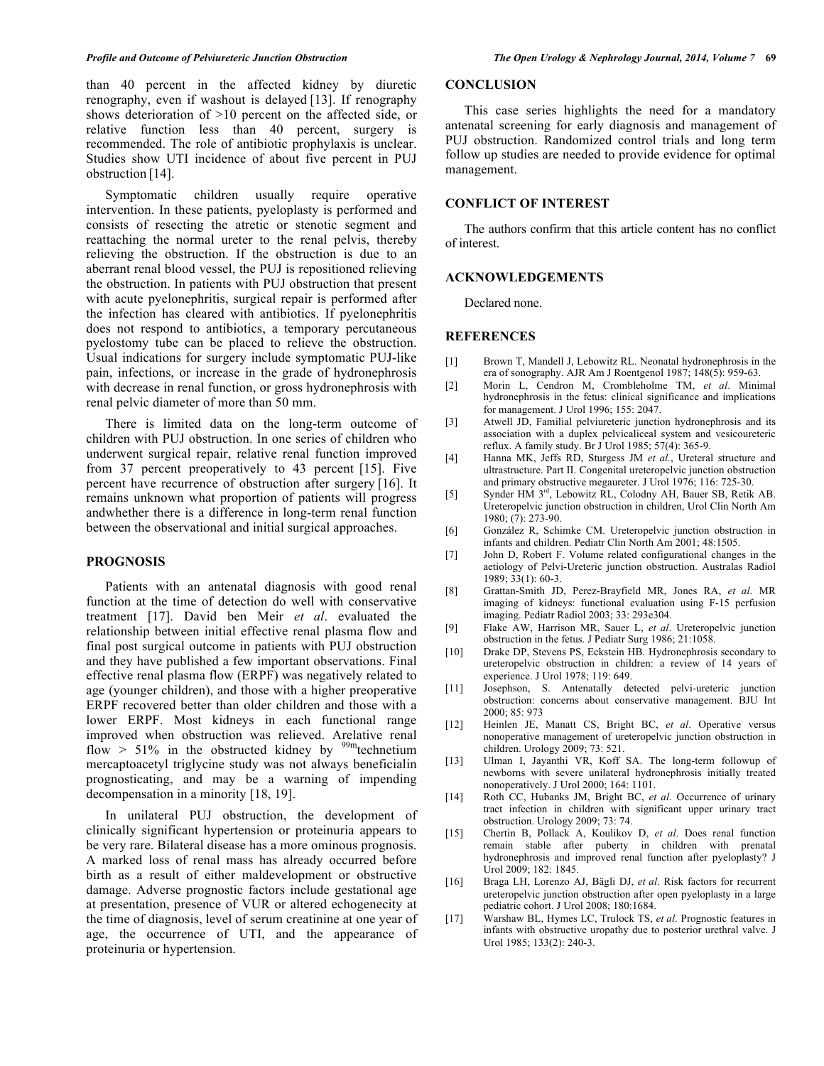than 40 percent in the affected kidney by diuretic renography, even if washout is delayed [13]. If renography shows deterioration of >10 percent on the affected side, or relative function less than 40 percent, surgery is recommended. The role of antibiotic prophylaxis is unclear. Studies show UTI incidence of about five percent in PUJ obstruction [14].

Symptomatic children usually require operative intervention. In these patients, pyeloplasty is performed and consists of resecting the atretic or stenotic segment and reattaching the normal ureter to the renal pelvis, thereby relieving the obstruction. If the obstruction is due to an aberrant renal blood vessel, the PUJ is repositioned relieving the obstruction. In patients with PUJ obstruction that present with acute pyelonephritis, surgical repair is performed after the infection has cleared with antibiotics. If pyelonephritis does not respond to antibiotics, a temporary percutaneous pyelostomy tube can be placed to relieve the obstruction. Usual indications for surgery include symptomatic PUJ-like pain, infections, or increase in the grade of hydronephrosis with decrease in renal function, or gross hydronephrosis with renal pelvic diameter of more than 50 mm.

There is limited data on the long-term outcome of children with PUJ obstruction. In one series of children who underwent surgical repair, relative renal function improved from 37 percent preoperatively to 43 percent [15]. Five percent have recurrence of obstruction after surgery [16]. It remains unknown what proportion of patients will progress andwhether there is a difference in long-term renal function between the observational and initial surgical approaches.

### **PROGNOSIS**

Patients with an antenatal diagnosis with good renal function at the time of detection do well with conservative treatment [17]. David ben Meir *et al*. evaluated the relationship between initial effective renal plasma flow and final post surgical outcome in patients with PUJ obstruction and they have published a few important observations. Final effective renal plasma flow (ERPF) was negatively related to age (younger children), and those with a higher preoperative ERPF recovered better than older children and those with a lower ERPF. Most kidneys in each functional range improved when obstruction was relieved. Arelative renal flow  $> 51\%$  in the obstructed kidney by <sup>99m</sup>technetium mercaptoacetyl triglycine study was not always beneficialin prognosticating, and may be a warning of impending decompensation in a minority [18, 19].

In unilateral PUJ obstruction, the development of clinically significant hypertension or proteinuria appears to be very rare. Bilateral disease has a more ominous prognosis. A marked loss of renal mass has already occurred before birth as a result of either maldevelopment or obstructive damage. Adverse prognostic factors include gestational age at presentation, presence of VUR or altered echogenecity at the time of diagnosis, level of serum creatinine at one year of age, the occurrence of UTI, and the appearance of proteinuria or hypertension.

#### **CONCLUSION**

This case series highlights the need for a mandatory antenatal screening for early diagnosis and management of PUJ obstruction. Randomized control trials and long term follow up studies are needed to provide evidence for optimal management.

### **CONFLICT OF INTEREST**

The authors confirm that this article content has no conflict of interest.

#### **ACKNOWLEDGEMENTS**

Declared none.

#### **REFERENCES**

- [1] Brown T, Mandell J, Lebowitz RL. Neonatal hydronephrosis in the era of sonography. AJR Am J Roentgenol 1987; 148(5): 959-63.
- [2] Morin L, Cendron M, Crombleholme TM, *et al*. Minimal hydronephrosis in the fetus: clinical significance and implications for management. J Urol 1996; 155: 2047.
- [3] Atwell JD, Familial pelviureteric junction hydronephrosis and its association with a duplex pelvicaliceal system and vesicoureteric reflux. A family study. Br J Urol 1985; 57(4): 365-9.
- [4] Hanna MK, Jeffs RD, Sturgess JM *et al.*, Ureteral structure and ultrastructure. Part II. Congenital ureteropelvic junction obstruction and primary obstructive megaureter. J Urol 1976; 116: 725-30.
- [5] Synder HM 3rd, Lebowitz RL, Colodny AH, Bauer SB, Retik AB. Ureteropelvic junction obstruction in children, Urol Clin North Am 1980; (7): 273-90.
- [6] González R, Schimke CM. Ureteropelvic junction obstruction in infants and children. Pediatr Clin North Am 2001; 48:1505.
- [7] John D, Robert F. Volume related configurational changes in the aetiology of Pelvi-Ureteric junction obstruction. Australas Radiol 1989; 33(1): 60-3.
- [8] Grattan-Smith JD, Perez-Brayfield MR, Jones RA, *et al*. MR imaging of kidneys: functional evaluation using F-15 perfusion imaging. Pediatr Radiol 2003; 33: 293e304.
- [9] Flake AW, Harrison MR, Sauer L, *et al*. Ureteropelvic junction obstruction in the fetus. J Pediatr Surg 1986; 21:1058.
- [10] Drake DP, Stevens PS, Eckstein HB. Hydronephrosis secondary to ureteropelvic obstruction in children: a review of 14 years of experience. J Urol 1978; 119: 649.
- [11] Josephson, S. Antenatally detected pelvi-ureteric junction obstruction: concerns about conservative management. BJU Int 2000; 85: 973
- [12] Heinlen JE, Manatt CS, Bright BC, *et al*. Operative versus nonoperative management of ureteropelvic junction obstruction in children. Urology 2009; 73: 521.
- [13] Ulman I, Jayanthi VR, Koff SA. The long-term followup of newborns with severe unilateral hydronephrosis initially treated nonoperatively. J Urol 2000; 164: 1101.
- [14] Roth CC, Hubanks JM, Bright BC, *et al*. Occurrence of urinary tract infection in children with significant upper urinary tract obstruction. Urology 2009; 73: 74.
- [15] Chertin B, Pollack A, Koulikov D, *et al*. Does renal function remain stable after puberty in children with prenatal hydronephrosis and improved renal function after pyeloplasty? J Urol 2009; 182: 1845.
- [16] Braga LH, Lorenzo AJ, Bägli DJ, *et al*. Risk factors for recurrent ureteropelvic junction obstruction after open pyeloplasty in a large pediatric cohort. J Urol 2008; 180:1684.
- [17] Warshaw BL, Hymes LC, Trulock TS, *et al*. Prognostic features in infants with obstructive uropathy due to posterior urethral valve. J Urol 1985; 133(2): 240-3.